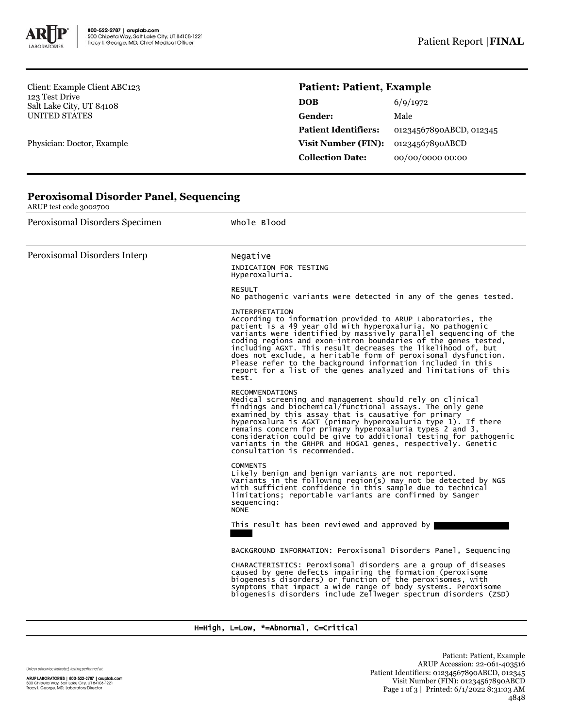

**Peroxisomal Disorder Panel, Sequencing**

Client: Example Client ABC123 123 Test Drive Salt Lake City, UT 84108 UNITED STATES

Physician: Doctor, Example

ARUP test code 3002700

## **Patient: Patient, Example**

| <b>DOB</b>                  | 6/9/1972                |
|-----------------------------|-------------------------|
| Gender:                     | Male                    |
| <b>Patient Identifiers:</b> | 01234567890ABCD, 012345 |
| Visit Number (FIN):         | 01234567890ABCD         |
| <b>Collection Date:</b>     | 00/00/0000 00:00        |

| Peroxisomal Disorders Specimen | Whole Blood                                                                                                                                                                                                                                                                                                                                                                                                                                                                                                                                                           |  |  |
|--------------------------------|-----------------------------------------------------------------------------------------------------------------------------------------------------------------------------------------------------------------------------------------------------------------------------------------------------------------------------------------------------------------------------------------------------------------------------------------------------------------------------------------------------------------------------------------------------------------------|--|--|
| Peroxisomal Disorders Interp   | Negative<br>INDICATION FOR TESTING<br>Hyperoxaluria.                                                                                                                                                                                                                                                                                                                                                                                                                                                                                                                  |  |  |
|                                | <b>RESULT</b><br>No pathogenic variants were detected in any of the genes tested.                                                                                                                                                                                                                                                                                                                                                                                                                                                                                     |  |  |
|                                | <b>INTERPRETATION</b><br>According to information provided to ARUP Laboratories, the<br>patient is a 49 year old with hyperoxaluria. No pathogenic<br>variants were identified by massively parallel sequencing of the<br>coding regions and exon-intron boundaries of the genes tested,<br>including AGXT. This result decreases the likelihood of, but<br>does not exclude, a heritable form of peroxisomal dysfunction.<br>Please refer to the background information included in this<br>report for a list of the genes analyzed and limitations of this<br>test. |  |  |
|                                | <b>RECOMMENDATIONS</b><br>Medical screening and management should rely on clinical<br>findings and biochemical/functional assays. The only gene<br>examined by this assay that is causative for primary<br>hyperoxalura is AGXT (primary hyperoxaluria type 1). If there<br>remains concern for primary hyperoxaluria types 2 and 3, consideration could be give to additional testing for pathogenic<br>variants in the GRHPR and HOGA1 genes, respectively. Genetic<br>consultation is recommended.                                                                 |  |  |
|                                | <b>COMMENTS</b><br>Likely benign and benign variants are not reported.<br>Variants in the following region(s) may not be detected by NGS<br>with sufficient confidence in this sample due to technical<br>limitations; reportable variants are confirmed by Sanger<br>sequencing:<br><b>NONE</b>                                                                                                                                                                                                                                                                      |  |  |
|                                | This result has been reviewed and approved by                                                                                                                                                                                                                                                                                                                                                                                                                                                                                                                         |  |  |
|                                | BACKGROUND INFORMATION: Peroxisomal Disorders Panel, Sequencing                                                                                                                                                                                                                                                                                                                                                                                                                                                                                                       |  |  |
|                                | CHARACTERISTICS: Peroxisomal disorders are a group of diseases<br>caused by gene defects impairing the formation (peroxisome<br>biogenesis disorders) or function of the peroxisomes, with<br>symptoms that impact a wide range of body systems. Peroxisome<br>biogenesis disorders include zellweger spectrum disorders (ZSD)                                                                                                                                                                                                                                        |  |  |
|                                |                                                                                                                                                                                                                                                                                                                                                                                                                                                                                                                                                                       |  |  |

## H=High, L=Low, \*=Abnormal, C=Critical

Unless otherwise indicated, testing performed at: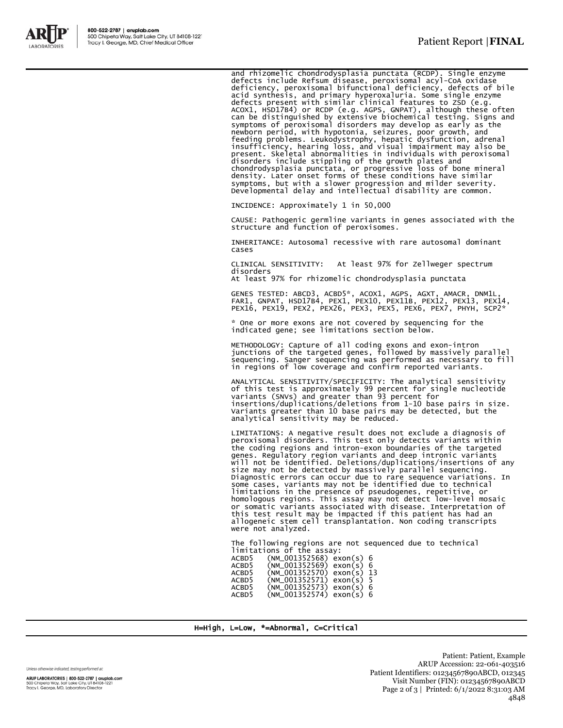

and rhizomelic chondrodysplasia punctata (RCDP). Single enzyme<br>defects include Refsum disease, peroxisomal acyl-CoA oxidase<br>deficiency, peroxisomal bifunctional deficiency, defects of bile<br>acid synthesis, and primary hyper symptoms, but with a slower progression and milder severity.<br>Developmental delay and intellectual disability are common.

INCIDENCE: Approximately 1 in 50,000

CAUSE: Pathogenic germline variants in genes associated with the structure and function of peroxisomes.

INHERITANCE: Autosomal recessive with rare autosomal dominant cases

CLINICAL SENSITIVITY: At least 97% for Zellweger spectrum disorders

At least 97% for rhizomelic chondrodysplasia punctata

GENES TESTED: ABCD3, ACBD5\*, ACOX1, AGPS, AGXT, AMACR, DNM1L,<br>FAR1, GNPAT, HSD17B4, PEX1, PEX10, PEX11B, PEX12, PEX13, PEX14,<br>PEX16, PEX19, PEX2, PEX26, PEX3, PEX5, PEX6, PEX7, PHYH, SCP2\*

\* One or more exons are not covered by sequencing for the indicated gene; see limitations section below.

METHODOLOGY: Capture of all coding exons and exon-intron<br>junctions of the targeted genes, followed by massively parallel<br>sequencing. Sanger sequencing was performed as necessary to fill<br>in regions of low coverage and confi

 ANALYTICAL SENSITIVITY/SPECIFICITY: The analytical sensitivity of this test is approximately 99 percent for single nucleotide<br>variants (SNVs) and greater than 93 percent for<br>insertions/duplications/deletions from 1-10 base pairs in size.<br>Variants greater than 10 base pairs may be dete analytical sensitivity may be reduced.

LIMITATIONS: A negative result does not exclude a diagnosis of peroxisomal disorders. This test only detects variants within the coding regions and intron-exon boundaries of the targeted genes. Regulatory region variants and deep intronic variants<br>will not be identified. Deletions/duplications/insertions of any<br>size may not be detected by massively parallel sequencing.<br>Diagnostic errors can occur due to ra were not analyzed.

The following regions are not sequenced due to technical limitations of the assay: ACBD5 (NM\_001352568) exon(s) 6

| ACBD5. | $(NM_001352569)$ exon(s) 6  |  |  |
|--------|-----------------------------|--|--|
| ACBD5  | $(NM_001352570)$ exon(s) 13 |  |  |
| ACBD5. | $(NM_001352571)$ exon(s) 5  |  |  |
| ACBD5  | $(NM_001352573)$ exon(s) 6  |  |  |
| ACBD5. | $(NM_001352574)$ exon(s) 6  |  |  |

H=High, L=Low, \*=Abnormal, C=Critical

Unless otherwise indicated, testing performed at: